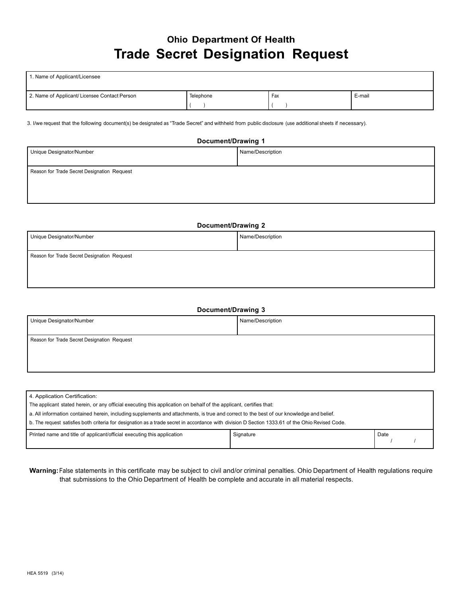### **Ohio Department Of Health Trade Secret Designation Request**

| 1. Name of Applicant/Licensee                |           |     |        |  |  |
|----------------------------------------------|-----------|-----|--------|--|--|
| 2. Name of Applicant/Licensee Contact Person | Telephone | Fax | E-mail |  |  |
|                                              |           |     |        |  |  |

3. I/we request that the following document(s) be designated as "Trade Secret" and withheld from public disclosure (use additional sheets if necessary).

# **Document/Drawing 1** Unique Designator/Number Name/Description Reason for Trade Secret Designation Request

## **Document/Drawing 2** Unique Designator/Number Name/Description Reason for Trade Secret Designation Request

| <b>Document/Drawing 3</b>                   |                  |  |  |
|---------------------------------------------|------------------|--|--|
| Unique Designator/Number                    | Name/Description |  |  |
| Reason for Trade Secret Designation Request |                  |  |  |
|                                             |                  |  |  |
|                                             |                  |  |  |
|                                             |                  |  |  |

| 4. Application Certification:                                                                                                                    |           |      |  |  |
|--------------------------------------------------------------------------------------------------------------------------------------------------|-----------|------|--|--|
| The applicant stated herein, or any official executing this application on behalf of the applicant, certifies that:                              |           |      |  |  |
| a. All information contained herein, including supplements and attachments, is true and correct to the best of our knowledge and belief.         |           |      |  |  |
| b. The request satisfies both criteria for designation as a trade secret in accordance with division D Section 1333.61 of the Ohio Revised Code. |           |      |  |  |
| Printed name and title of applicant/official executing this application                                                                          | Signature | Date |  |  |

**Warning:**False statements in this certificate may be subject to civil and/or criminal penalties. Ohio Department of Health regulations require that submissions to the Ohio Department of Health be complete and accurate in all material respects.